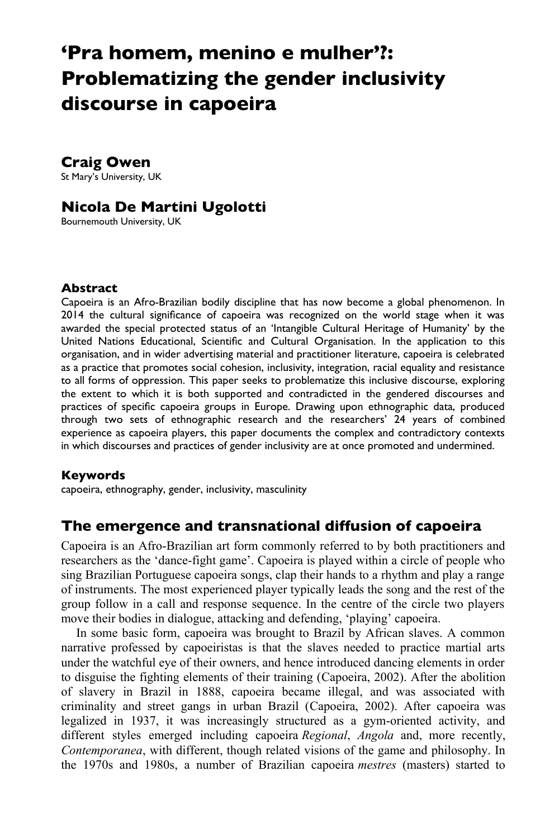# **'Pra homem, menino e mulher'?: Problematizing the gender inclusivity discourse in capoeira**

### **Craig Owen**

St Mary's University, UK

### **Nicola De Martini Ugolotti**

Bournemouth University, UK

### **Abstract**

Capoeira is an Afro-Brazilian bodily discipline that has now become a global phenomenon. In 2014 the cultural signifcance of capoeira was recognized on the world stage when it was awarded the special protected status of an 'Intangible Cultural Heritage of Humanity' by the United Nations Educational, Scientifc and Cultural Organisation. In the application to this organisation, and in wider advertising material and practitioner literature, capoeira is celebrated as a practice that promotes social cohesion, inclusivity, integration, racial equality and resistance to all forms of oppression. This paper seeks to problematize this inclusive discourse, exploring the extent to which it is both supported and contradicted in the gendered discourses and practices of specifc capoeira groups in Europe. Drawing upon ethnographic data, produced through two sets of ethnographic research and the researchers' 24 years of combined experience as capoeira players, this paper documents the complex and contradictory contexts in which discourses and practices of gender inclusivity are at once promoted and undermined.

### **Keywords**

capoeira, ethnography, gender, inclusivity, masculinity

# **The emergence and transnational diffusion of capoeira**

Capoeira is an Afro-Brazilian art form commonly referred to by both practitioners and researchers as the 'dance-fight game'. Capoeira is played within a circle of people who sing Brazilian Portuguese capoeira songs, clap their hands to a rhythm and play a range of instruments. The most experienced player typically leads the song and the rest of the group follow in a call and response sequence. In the centre of the circle two players move their bodies in dialogue, attacking and defending, 'playing' capoeira.

In some basic form, capoeira was brought to Brazil by African slaves. A common narrative professed by capoeiristas is that the slaves needed to practice martial arts under the watchful eye of their owners, and hence introduced dancing elements in order to disguise the fighting elements of their training [\(Capoeira, 2002\)](#page-16-0). After the abolition of slavery in Brazil in 1888, capoeira became illegal, and was associated with criminality and street gangs in urban Brazil [\(Capoeira, 2002\)](#page-16-0). After capoeira was legalized in 1937, it was increasingly structured as a gym-oriented activity, and different styles emerged including capoeira *Regional*, *Angola* and, more recently, *Contemporanea*, with different, though related visions of the game and philosophy. In the 1970s and 1980s, a number of Brazilian capoeira *mestres* (masters) started to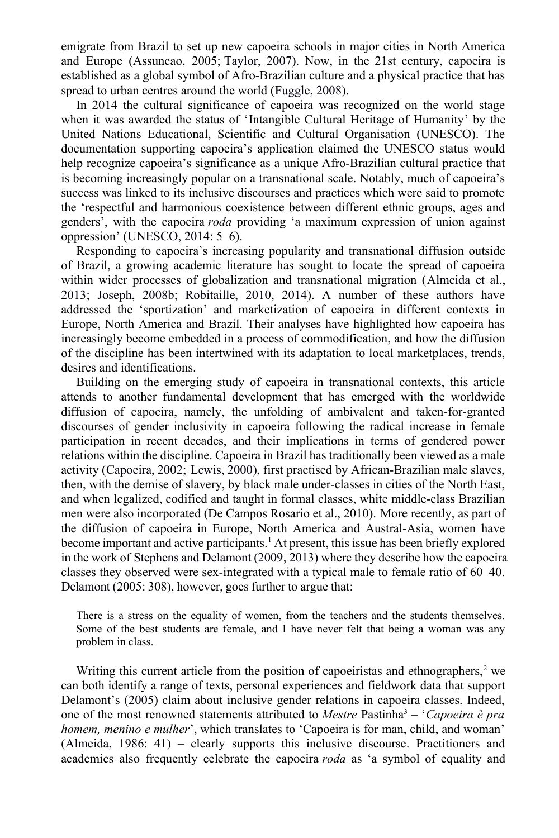emigrate from Brazil to set up new capoeira schools in major cities in North America and Europe (Assuncao, 2005; [Taylor, 2007\)](#page-18-5). Now, in the 21st century, capoeira is established as a global symbol of Afro-Brazilian culture and a physical practice that has spread to urban centres around the world [\(Fuggle, 2008\)](#page-17-2).

In 2014 the cultural significance of capoeira was recognized on the world stage when it was awarded the status of 'Intangible Cultural Heritage of Humanity' by the United Nations Educational, Scientific and Cultural Organisation (UNESCO). The documentation supporting capoeira's application claimed the UNESCO status would help recognize capoeira's significance as a unique Afro-Brazilian cultural practice that is becoming increasingly popular on a transnational scale. Notably, much of capoeira's success was linked to its inclusive discourses and practices which were said to promote the 'respectful and harmonious coexistence between different ethnic groups, ages and genders', with the capoeira *roda* providing 'a maximum expression of union against oppression' [\(UNESCO, 2014:](#page-18-4) 5–6).

<span id="page-1-0"></span>Responding to capoeira's increasing popularity and transnational diffusion outside of Brazil, a growing academic literature has sought to locate the spread of capoeira within wider processes of globalization and transnational migration [\(Almeida et al.,](#page-16-5) [2013;](#page-16-5) [Joseph, 2008b;](#page-1-0) [Robitaille, 2010,](#page-18-3) [2014\)](#page-18-2). A number of these authors have addressed the 'sportization' and marketization of capoeira in different contexts in Europe, North America and Brazil. Their analyses have highlighted how capoeira has increasingly become embedded in a process of commodification, and how the diffusion of the discipline has been intertwined with its adaptation to local marketplaces, trends, desires and identifications.

Building on the emerging study of capoeira in transnational contexts, this article attends to another fundamental development that has emerged with the worldwide diffusion of capoeira, namely, the unfolding of ambivalent and taken-for-granted discourses of gender inclusivity in capoeira following the radical increase in female participation in recent decades, and their implications in terms of gendered power relations within the discipline. Capoeira in Brazil has traditionally been viewed as a male activity [\(Capoeira, 2002;](#page-16-0) [Lewis, 2000\)](#page-17-1), first practised by African-Brazilian male slaves, then, with the demise of slavery, by black male under-classes in cities of the North East, and when legalized, codified and taught in formal classes, white middle-class Brazilian men were also incorporated (De Campos Rosario et al., 2010). More recently, as part of the diffusion of capoeira in Europe, North America and Austral-Asia, women have become important and active participants.<sup>[1](#page-16-4)</sup> At present, this issue has been briefly explored in the work of [Stephens and Delamont \(2009,](#page-18-1) [2013\)](#page-18-0) where they describe how the capoeira classes they observed were sex-integrated with a typical male to female ratio of 60–40. [Delamont \(2005:](#page-17-0) 308), however, goes further to argue that:

There is a stress on the equality of women, from the teachers and the students themselves. Some of the best students are female, and I have never felt that being a woman was any problem in class.

Writing this current article from the position of capoeiristas and ethnographers, $2$  we can both identify a range of texts, personal experiences and fieldwork data that support Delamont's [\(2005\)](#page-17-0) claim about inclusive gender relations in capoeira classes. Indeed, one of the most renowned statements attributed to *Mestre* Pastinha<sup>[3](#page-16-2)</sup> – '*Capoeira è pra homem, menino e mulher*', which translates to 'Capoeira is for man, child, and woman' [\(Almeida, 1986:](#page-16-1) 41) – clearly supports this inclusive discourse. Practitioners and academics also frequently celebrate the capoeira *roda* as 'a symbol of equality and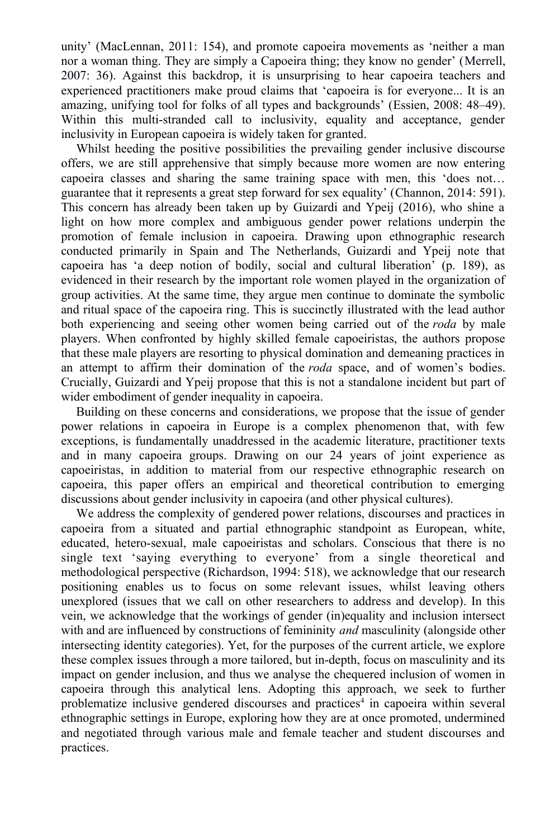unity' [\(MacLennan, 2011:](#page-17-5) 154), and promote capoeira movements as 'neither a man nor a woman thing. They are simply a Capoeira thing; they know no gender' ([Merrell,](#page-17-4) [2007:](#page-17-4) 36). Against this backdrop, it is unsurprising to hear capoeira teachers and experienced practitioners make proud claims that 'capoeira is for everyone... It is an amazing, unifying tool for folks of all types and backgrounds' [\(Essien, 2008:](#page-17-3) 48–49). Within this multi-stranded call to inclusivity, equality and acceptance, gender inclusivity in European capoeira is widely taken for granted.

Whilst heeding the positive possibilities the prevailing gender inclusive discourse offers, we are still apprehensive that simply because more women are now entering capoeira classes and sharing the same training space with men, this 'does not… guarantee that it represents a great step forward for sex equality' [\(Channon, 2014:](#page-16-7) 591). This concern has already been taken up by Guizardi and Ypeij (2016), who shine a light on how more complex and ambiguous gender power relations underpin the promotion of female inclusion in capoeira. Drawing upon ethnographic research conducted primarily in Spain and The Netherlands, Guizardi and Ypeij note that capoeira has 'a deep notion of bodily, social and cultural liberation' (p. 189), as evidenced in their research by the important role women played in the organization of group activities. At the same time, they argue men continue to dominate the symbolic and ritual space of the capoeira ring. This is succinctly illustrated with the lead author both experiencing and seeing other women being carried out of the *roda* by male players. When confronted by highly skilled female capoeiristas, the authors propose that these male players are resorting to physical domination and demeaning practices in an attempt to affirm their domination of the *roda* space, and of women's bodies. Crucially, Guizardi and Ypeij propose that this is not a standalone incident but part of wider embodiment of gender inequality in capoeira.

Building on these concerns and considerations, we propose that the issue of gender power relations in capoeira in Europe is a complex phenomenon that, with few exceptions, is fundamentally unaddressed in the academic literature, practitioner texts and in many capoeira groups. Drawing on our 24 years of joint experience as capoeiristas, in addition to material from our respective ethnographic research on capoeira, this paper offers an empirical and theoretical contribution to emerging discussions about gender inclusivity in capoeira (and other physical cultures).

We address the complexity of gendered power relations, discourses and practices in capoeira from a situated and partial ethnographic standpoint as European, white, educated, hetero-sexual, male capoeiristas and scholars. Conscious that there is no single text 'saying everything to everyone' from a single theoretical and methodological perspective [\(Richardson, 1994:](#page-18-6) 518), we acknowledge that our research positioning enables us to focus on some relevant issues, whilst leaving others unexplored (issues that we call on other researchers to address and develop). In this vein, we acknowledge that the workings of gender (in)equality and inclusion intersect with and are influenced by constructions of femininity *and* masculinity (alongside other intersecting identity categories). Yet, for the purposes of the current article, we explore these complex issues through a more tailored, but in-depth, focus on masculinity and its impact on gender inclusion, and thus we analyse the chequered inclusion of women in capoeira through this analytical lens. Adopting this approach, we seek to further problematize inclusive gendered discourses and practices<sup>[4](#page-16-6)</sup> in capoeira within several ethnographic settings in Europe, exploring how they are at once promoted, undermined and negotiated through various male and female teacher and student discourses and practices.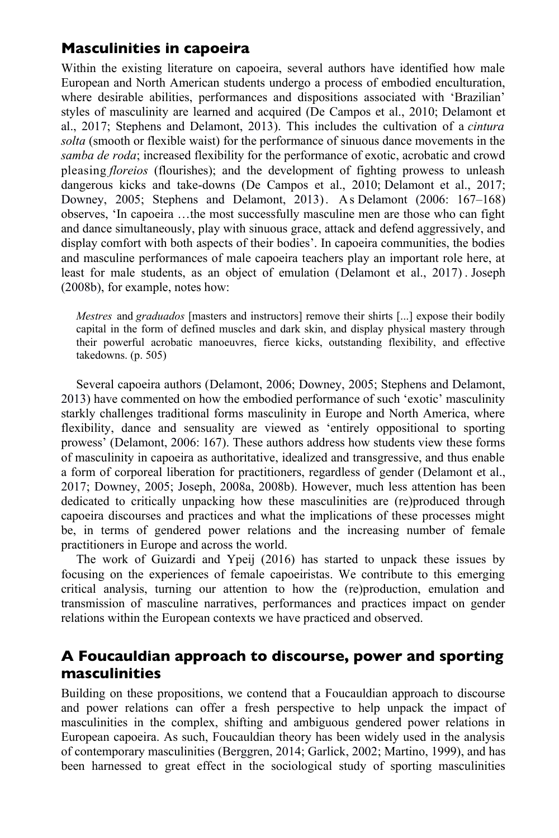# **Masculinities in capoeira**

Within the existing literature on capoeira, several authors have identified how male European and North American students undergo a process of embodied enculturation, where desirable abilities, performances and dispositions associated with 'Brazilian' styles of masculinity are learned and acquired (De Campos et al., 2010; [Delamont et](#page-17-9) [al., 2017;](#page-17-9) [Stephens and Delamont, 2013\)](#page-18-0). This includes the cultivation of a *cintura solta* (smooth or flexible waist) for the performance of sinuous dance movements in the *samba de roda*; increased flexibility for the performance of exotic, acrobatic and crowd pleasing *floreios* (flourishes); and the development of fighting prowess to unleash dangerous kicks and take-downs (De Campos et al., 2010; [Delamont et al., 2017;](#page-17-9) [Downey, 2005;](#page-17-8) [Stephens and Delamont, 2013\)](#page-18-0). A s [Delamont \(2006:](#page-17-10) 167–168) observes, 'In capoeira …the most successfully masculine men are those who can fight and dance simultaneously, play with sinuous grace, attack and defend aggressively, and display comfort with both aspects of their bodies'. In capoeira communities, the bodies and masculine performances of male capoeira teachers play an important role here, at least for male students, as an object of emulation [\(Delamont et al., 2017\)](#page-17-9) . [Joseph](#page-3-1) [\(2008b\),](#page-3-1) for example, notes how:

<span id="page-3-1"></span>*Mestres* and *graduados* [masters and instructors] remove their shirts [...] expose their bodily capital in the form of defined muscles and dark skin, and display physical mastery through their powerful acrobatic manoeuvres, fierce kicks, outstanding flexibility, and effective takedowns. (p. 505)

Several capoeira authors [\(Delamont, 2006;](#page-17-10) [Downey, 2005;](#page-17-8) [Stephens and Delamont,](#page-18-0) [2013\)](#page-18-0) have commented on how the embodied performance of such 'exotic' masculinity starkly challenges traditional forms masculinity in Europe and North America, where flexibility, dance and sensuality are viewed as 'entirely oppositional to sporting prowess' [\(Delamont, 2006:](#page-17-10) 167). These authors address how students view these forms of masculinity in capoeira as authoritative, idealized and transgressive, and thus enable a form of corporeal liberation for practitioners, regardless of gender [\(Delamont et al.,](#page-17-9) [2017;](#page-17-9) [Downey, 2005;](#page-17-8) [Joseph, 2008a,](#page-3-0) [2008b\)](#page-17-7). However, much less attention has been dedicated to critically unpacking how these masculinities are (re)produced through capoeira discourses and practices and what the implications of these processes might be, in terms of gendered power relations and the increasing number of female practitioners in Europe and across the world.

<span id="page-3-0"></span>The work of Guizardi and Ypeij (2016) has started to unpack these issues by focusing on the experiences of female capoeiristas. We contribute to this emerging critical analysis, turning our attention to how the (re)production, emulation and transmission of masculine narratives, performances and practices impact on gender relations within the European contexts we have practiced and observed.

# **A Foucauldian approach to discourse, power and sporting masculinities**

Building on these propositions, we contend that a Foucauldian approach to discourse and power relations can offer a fresh perspective to help unpack the impact of masculinities in the complex, shifting and ambiguous gendered power relations in European capoeira. As such, Foucauldian theory has been widely used in the analysis of contemporary masculinities [\(Berggren, 2014;](#page-16-8) [Garlick, 2002;](#page-17-6) Martino, 1999), and has been harnessed to great effect in the sociological study of sporting masculinities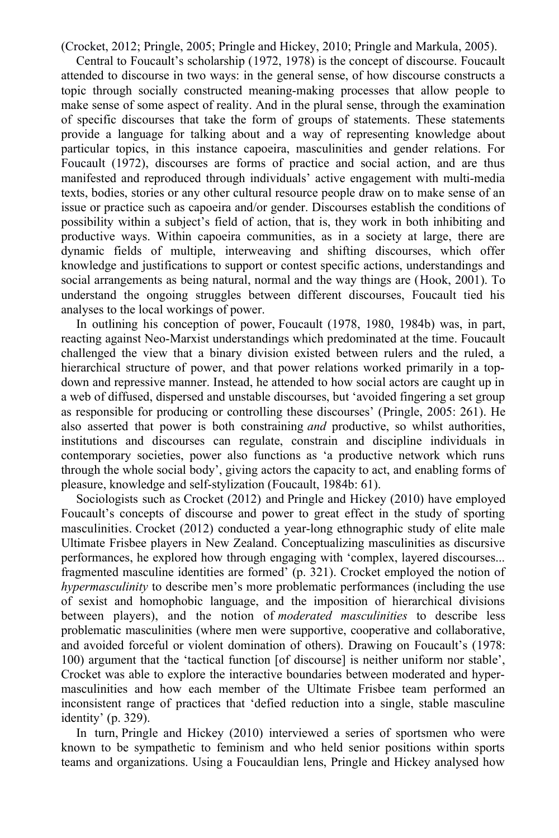[\(Crocket, 2012;](#page-17-13) [Pringle, 2005;](#page-17-15) [Pringle and Hickey, 2010;](#page-17-11) [Pringle and Markula, 2005\)](#page-18-7).

Central to Foucault's scholarship [\(1972,](#page-17-18) [1978\)](#page-17-12) is the concept of discourse. Foucault attended to discourse in two ways: in the general sense, of how discourse constructs a topic through socially constructed meaning-making processes that allow people to make sense of some aspect of reality. And in the plural sense, through the examination of specific discourses that take the form of groups of statements. These statements provide a language for talking about and a way of representing knowledge about particular topics, in this instance capoeira, masculinities and gender relations. For [Foucault \(1972\),](#page-17-18) discourses are forms of practice and social action, and are thus manifested and reproduced through individuals' active engagement with multi-media texts, bodies, stories or any other cultural resource people draw on to make sense of an issue or practice such as capoeira and/or gender. Discourses establish the conditions of possibility within a subject's field of action, that is, they work in both inhibiting and productive ways. Within capoeira communities, as in a society at large, there are dynamic fields of multiple, interweaving and shifting discourses, which offer knowledge and justifications to support or contest specific actions, understandings and social arrangements as being natural, normal and the way things are [\(Hook, 2001\)](#page-17-17). To understand the ongoing struggles between different discourses, Foucault tied his analyses to the local workings of power.

In outlining his conception of power, [Foucault \(1978,](#page-17-12) [1980,](#page-17-16) [1984b\)](#page-17-14) was, in part, reacting against Neo-Marxist understandings which predominated at the time. Foucault challenged the view that a binary division existed between rulers and the ruled, a hierarchical structure of power, and that power relations worked primarily in a topdown and repressive manner. Instead, he attended to how social actors are caught up in a web of diffused, dispersed and unstable discourses, but 'avoided fingering a set group as responsible for producing or controlling these discourses' [\(Pringle, 2005:](#page-17-15) 261). He also asserted that power is both constraining *and* productive, so whilst authorities, institutions and discourses can regulate, constrain and discipline individuals in contemporary societies, power also functions as 'a productive network which runs through the whole social body', giving actors the capacity to act, and enabling forms of pleasure, knowledge and self-stylization [\(Foucault, 1984b:](#page-17-14) 61).

Sociologists such as [Crocket \(2012\)](#page-17-13) and [Pringle and Hickey \(2010\)](#page-17-11) have employed Foucault's concepts of discourse and power to great effect in the study of sporting masculinities. [Crocket \(2012\)](#page-17-13) conducted a year-long ethnographic study of elite male Ultimate Frisbee players in New Zealand. Conceptualizing masculinities as discursive performances, he explored how through engaging with 'complex, layered discourses... fragmented masculine identities are formed' (p. 321). Crocket employed the notion of *hypermasculinity* to describe men's more problematic performances (including the use of sexist and homophobic language, and the imposition of hierarchical divisions between players), and the notion of *moderated masculinities* to describe less problematic masculinities (where men were supportive, cooperative and collaborative, and avoided forceful or violent domination of others). Drawing on Foucault's [\(1978:](#page-17-12) 100) argument that the 'tactical function [of discourse] is neither uniform nor stable', Crocket was able to explore the interactive boundaries between moderated and hypermasculinities and how each member of the Ultimate Frisbee team performed an inconsistent range of practices that 'defied reduction into a single, stable masculine identity' (p. 329).

In turn, [Pringle and Hickey \(2010\)](#page-17-11) interviewed a series of sportsmen who were known to be sympathetic to feminism and who held senior positions within sports teams and organizations. Using a Foucauldian lens, Pringle and Hickey analysed how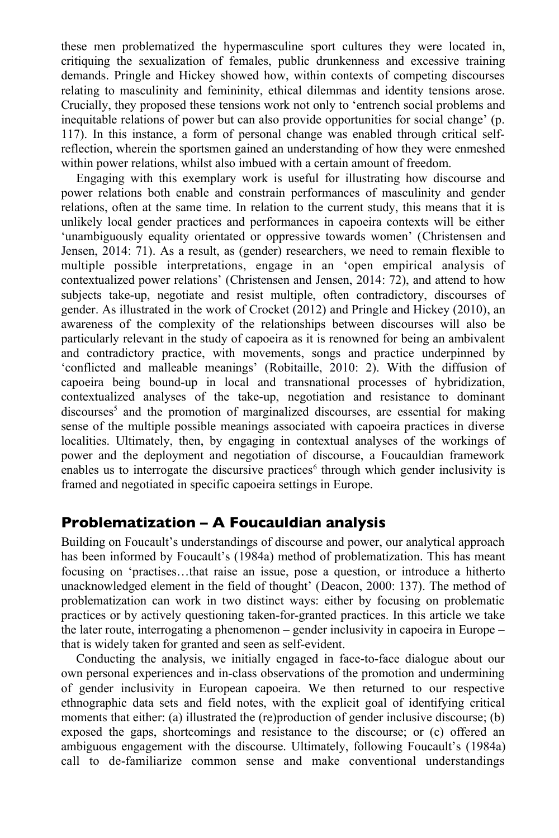these men problematized the hypermasculine sport cultures they were located in, critiquing the sexualization of females, public drunkenness and excessive training demands. Pringle and Hickey showed how, within contexts of competing discourses relating to masculinity and femininity, ethical dilemmas and identity tensions arose. Crucially, they proposed these tensions work not only to 'entrench social problems and inequitable relations of power but can also provide opportunities for social change' (p. 117). In this instance, a form of personal change was enabled through critical selfreflection, wherein the sportsmen gained an understanding of how they were enmeshed within power relations, whilst also imbued with a certain amount of freedom.

Engaging with this exemplary work is useful for illustrating how discourse and power relations both enable and constrain performances of masculinity and gender relations, often at the same time. In relation to the current study, this means that it is unlikely local gender practices and performances in capoeira contexts will be either 'unambiguously equality orientated or oppressive towards women' [\(Christensen and](#page-17-21) [Jensen, 2014:](#page-17-21) 71). As a result, as (gender) researchers, we need to remain flexible to multiple possible interpretations, engage in an 'open empirical analysis of contextualized power relations' [\(Christensen and Jensen, 2014:](#page-17-21) 72), and attend to how subjects take-up, negotiate and resist multiple, often contradictory, discourses of gender. As illustrated in the work of [Crocket \(2012\)](#page-17-13) and [Pringle and Hickey \(2010\),](#page-17-11) an awareness of the complexity of the relationships between discourses will also be particularly relevant in the study of capoeira as it is renowned for being an ambivalent and contradictory practice, with movements, songs and practice underpinned by 'conflicted and malleable meanings' [\(Robitaille, 2010:](#page-18-3) 2). With the diffusion of capoeira being bound-up in local and transnational processes of hybridization, contextualized analyses of the take-up, negotiation and resistance to dominant discourses<sup>[5](#page-16-10)</sup> and the promotion of marginalized discourses, are essential for making sense of the multiple possible meanings associated with capoeira practices in diverse localities. Ultimately, then, by engaging in contextual analyses of the workings of power and the deployment and negotiation of discourse, a Foucauldian framework enables us to interrogate the discursive practices<sup>[6](#page-16-9)</sup> through which gender inclusivity is framed and negotiated in specific capoeira settings in Europe.

### **Problematization – A Foucauldian analysis**

Building on Foucault's understandings of discourse and power, our analytical approach has been informed by Foucault's [\(1984a\)](#page-17-19) method of problematization. This has meant focusing on 'practises…that raise an issue, pose a question, or introduce a hitherto unacknowledged element in the field of thought' [\(Deacon, 2000:](#page-17-20) 137). The method of problematization can work in two distinct ways: either by focusing on problematic practices or by actively questioning taken-for-granted practices. In this article we take the later route, interrogating a phenomenon – gender inclusivity in capoeira in Europe – that is widely taken for granted and seen as self-evident.

Conducting the analysis, we initially engaged in face-to-face dialogue about our own personal experiences and in-class observations of the promotion and undermining of gender inclusivity in European capoeira. We then returned to our respective ethnographic data sets and field notes, with the explicit goal of identifying critical moments that either: (a) illustrated the (re)production of gender inclusive discourse; (b) exposed the gaps, shortcomings and resistance to the discourse; or (c) offered an ambiguous engagement with the discourse. Ultimately, following Foucault's [\(1984a\)](#page-17-19) call to de-familiarize common sense and make conventional understandings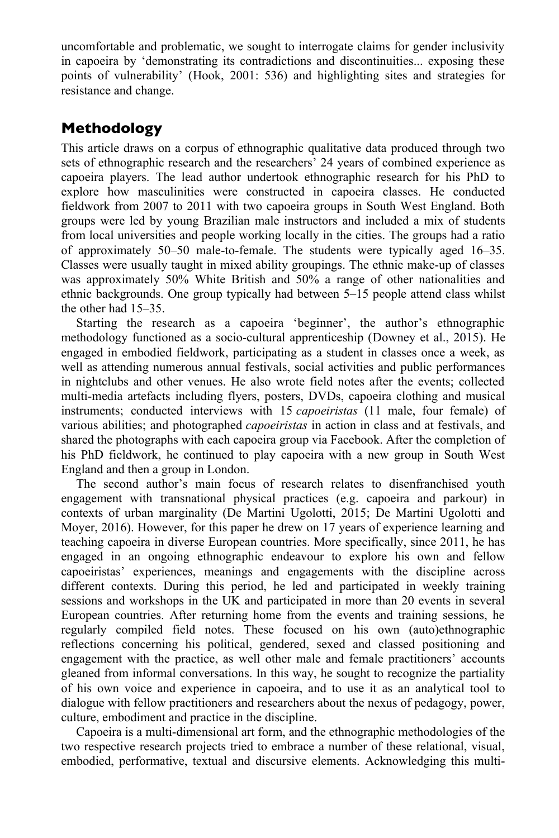uncomfortable and problematic, we sought to interrogate claims for gender inclusivity in capoeira by 'demonstrating its contradictions and discontinuities... exposing these points of vulnerability' [\(Hook, 2001:](#page-17-17) 536) and highlighting sites and strategies for resistance and change.

# **Methodology**

This article draws on a corpus of ethnographic qualitative data produced through two sets of ethnographic research and the researchers' 24 years of combined experience as capoeira players. The lead author undertook ethnographic research for his PhD to explore how masculinities were constructed in capoeira classes. He conducted fieldwork from 2007 to 2011 with two capoeira groups in South West England. Both groups were led by young Brazilian male instructors and included a mix of students from local universities and people working locally in the cities. The groups had a ratio of approximately 50–50 male-to-female. The students were typically aged 16–35. Classes were usually taught in mixed ability groupings. The ethnic make-up of classes was approximately 50% White British and 50% a range of other nationalities and ethnic backgrounds. One group typically had between 5–15 people attend class whilst the other had 15–35.

Starting the research as a capoeira 'beginner', the author's ethnographic methodology functioned as a socio-cultural apprenticeship [\(Downey et al., 2015\)](#page-17-22). He engaged in embodied fieldwork, participating as a student in classes once a week, as well as attending numerous annual festivals, social activities and public performances in nightclubs and other venues. He also wrote field notes after the events; collected multi-media artefacts including flyers, posters, DVDs, capoeira clothing and musical instruments; conducted interviews with 15 *capoeiristas* (11 male, four female) of various abilities; and photographed *capoeiristas* in action in class and at festivals, and shared the photographs with each capoeira group via Facebook. After the completion of his PhD fieldwork, he continued to play capoeira with a new group in South West England and then a group in London.

The second author's main focus of research relates to disenfranchised youth engagement with transnational physical practices (e.g. capoeira and parkour) in contexts of urban marginality (De Martini Ugolotti, 2015; De Martini Ugolotti and Moyer, 2016). However, for this paper he drew on 17 years of experience learning and teaching capoeira in diverse European countries. More specifically, since 2011, he has engaged in an ongoing ethnographic endeavour to explore his own and fellow capoeiristas' experiences, meanings and engagements with the discipline across different contexts. During this period, he led and participated in weekly training sessions and workshops in the UK and participated in more than 20 events in several European countries. After returning home from the events and training sessions, he regularly compiled field notes. These focused on his own (auto)ethnographic reflections concerning his political, gendered, sexed and classed positioning and engagement with the practice, as well other male and female practitioners' accounts gleaned from informal conversations. In this way, he sought to recognize the partiality of his own voice and experience in capoeira, and to use it as an analytical tool to dialogue with fellow practitioners and researchers about the nexus of pedagogy, power, culture, embodiment and practice in the discipline.

Capoeira is a multi-dimensional art form, and the ethnographic methodologies of the two respective research projects tried to embrace a number of these relational, visual, embodied, performative, textual and discursive elements. Acknowledging this multi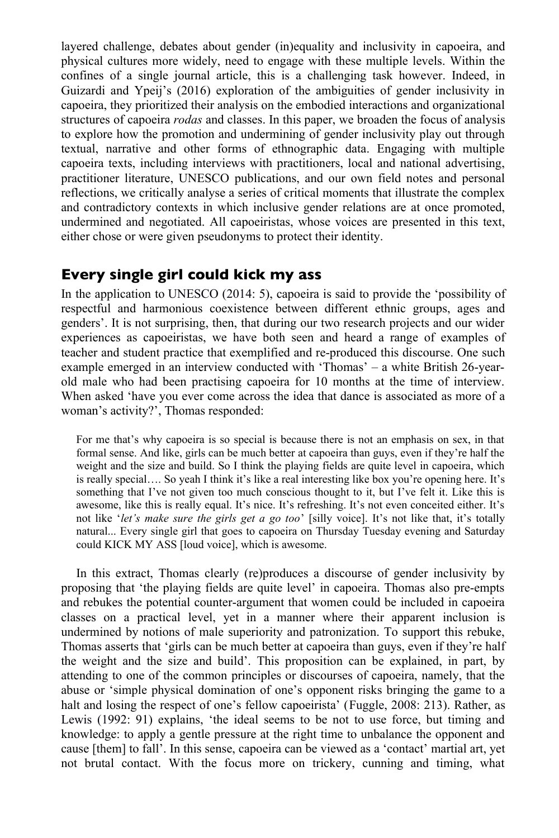layered challenge, debates about gender (in)equality and inclusivity in capoeira, and physical cultures more widely, need to engage with these multiple levels. Within the confines of a single journal article, this is a challenging task however. Indeed, in Guizardi and Ypeij's (2016) exploration of the ambiguities of gender inclusivity in capoeira, they prioritized their analysis on the embodied interactions and organizational structures of capoeira *rodas* and classes. In this paper, we broaden the focus of analysis to explore how the promotion and undermining of gender inclusivity play out through textual, narrative and other forms of ethnographic data. Engaging with multiple capoeira texts, including interviews with practitioners, local and national advertising, practitioner literature, UNESCO publications, and our own field notes and personal reflections, we critically analyse a series of critical moments that illustrate the complex and contradictory contexts in which inclusive gender relations are at once promoted, undermined and negotiated. All capoeiristas, whose voices are presented in this text, either chose or were given pseudonyms to protect their identity.

# **Every single girl could kick my ass**

In the application to [UNESCO \(2014:](#page-18-4) 5), capoeira is said to provide the 'possibility of respectful and harmonious coexistence between different ethnic groups, ages and genders'. It is not surprising, then, that during our two research projects and our wider experiences as capoeiristas, we have both seen and heard a range of examples of teacher and student practice that exemplified and re-produced this discourse. One such example emerged in an interview conducted with 'Thomas' – a white British 26-yearold male who had been practising capoeira for 10 months at the time of interview. When asked 'have you ever come across the idea that dance is associated as more of a woman's activity?', Thomas responded:

For me that's why capoeira is so special is because there is not an emphasis on sex, in that formal sense. And like, girls can be much better at capoeira than guys, even if they're half the weight and the size and build. So I think the playing fields are quite level in capoeira, which is really special…. So yeah I think it's like a real interesting like box you're opening here. It's something that I've not given too much conscious thought to it, but I've felt it. Like this is awesome, like this is really equal. It's nice. It's refreshing. It's not even conceited either. It's not like '*let's make sure the girls get a go too*' [silly voice]. It's not like that, it's totally natural... Every single girl that goes to capoeira on Thursday Tuesday evening and Saturday could KICK MY ASS [loud voice], which is awesome.

In this extract, Thomas clearly (re)produces a discourse of gender inclusivity by proposing that 'the playing fields are quite level' in capoeira. Thomas also pre-empts and rebukes the potential counter-argument that women could be included in capoeira classes on a practical level, yet in a manner where their apparent inclusion is undermined by notions of male superiority and patronization. To support this rebuke, Thomas asserts that 'girls can be much better at capoeira than guys, even if they're half the weight and the size and build'. This proposition can be explained, in part, by attending to one of the common principles or discourses of capoeira, namely, that the abuse or 'simple physical domination of one's opponent risks bringing the game to a halt and losing the respect of one's fellow capoeirista' [\(Fuggle, 2008:](#page-17-2) 213). Rather, as [Lewis \(1992:](#page-17-23) 91) explains, 'the ideal seems to be not to use force, but timing and knowledge: to apply a gentle pressure at the right time to unbalance the opponent and cause [them] to fall'. In this sense, capoeira can be viewed as a 'contact' martial art, yet not brutal contact. With the focus more on trickery, cunning and timing, what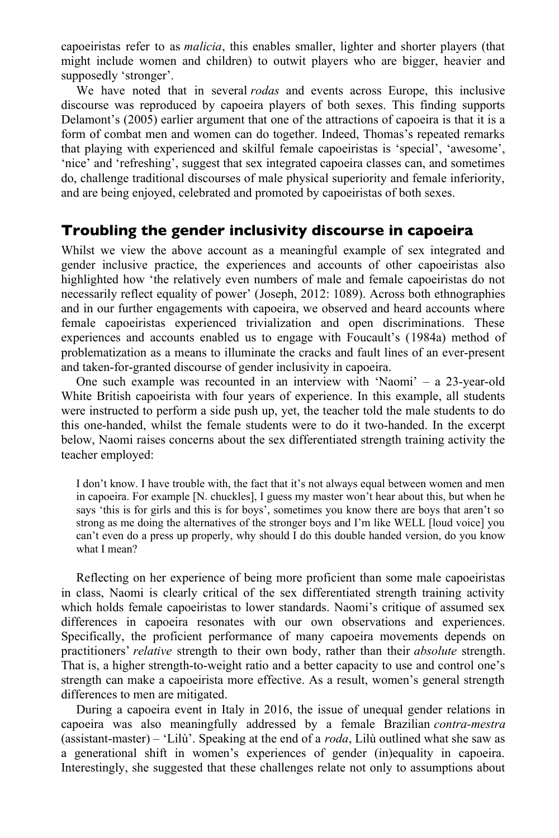capoeiristas refer to as *malicia*, this enables smaller, lighter and shorter players (that might include women and children) to outwit players who are bigger, heavier and supposedly 'stronger'.

We have noted that in several *rodas* and events across Europe, this inclusive discourse was reproduced by capoeira players of both sexes. This finding supports Delamont's [\(2005\)](#page-17-0) earlier argument that one of the attractions of capoeira is that it is a form of combat men and women can do together. Indeed, Thomas's repeated remarks that playing with experienced and skilful female capoeiristas is 'special', 'awesome', 'nice' and 'refreshing', suggest that sex integrated capoeira classes can, and sometimes do, challenge traditional discourses of male physical superiority and female inferiority, and are being enjoyed, celebrated and promoted by capoeiristas of both sexes.

### **Troubling the gender inclusivity discourse in capoeira**

Whilst we view the above account as a meaningful example of sex integrated and gender inclusive practice, the experiences and accounts of other capoeiristas also highlighted how 'the relatively even numbers of male and female capoeiristas do not necessarily reflect equality of power' [\(Joseph, 2012:](#page-17-24) 1089). Across both ethnographies and in our further engagements with capoeira, we observed and heard accounts where female capoeiristas experienced trivialization and open discriminations. These experiences and accounts enabled us to engage with Foucault's [\(1984a\)](#page-17-19) method of problematization as a means to illuminate the cracks and fault lines of an ever-present and taken-for-granted discourse of gender inclusivity in capoeira.

One such example was recounted in an interview with 'Naomi' – a 23-year-old White British capoeirista with four years of experience. In this example, all students were instructed to perform a side push up, yet, the teacher told the male students to do this one-handed, whilst the female students were to do it two-handed. In the excerpt below, Naomi raises concerns about the sex differentiated strength training activity the teacher employed:

I don't know. I have trouble with, the fact that it's not always equal between women and men in capoeira. For example [N. chuckles], I guess my master won't hear about this, but when he says 'this is for girls and this is for boys', sometimes you know there are boys that aren't so strong as me doing the alternatives of the stronger boys and I'm like WELL [loud voice] you can't even do a press up properly, why should I do this double handed version, do you know what I mean?

Reflecting on her experience of being more proficient than some male capoeiristas in class, Naomi is clearly critical of the sex differentiated strength training activity which holds female capoeiristas to lower standards. Naomi's critique of assumed sex differences in capoeira resonates with our own observations and experiences. Specifically, the proficient performance of many capoeira movements depends on practitioners' *relative* strength to their own body, rather than their *absolute* strength. That is, a higher strength-to-weight ratio and a better capacity to use and control one's strength can make a capoeirista more effective. As a result, women's general strength differences to men are mitigated.

During a capoeira event in Italy in 2016, the issue of unequal gender relations in capoeira was also meaningfully addressed by a female Brazilian *contra-mestra* (assistant-master) – 'Lilù'. Speaking at the end of a *roda*, Lilù outlined what she saw as a generational shift in women's experiences of gender (in)equality in capoeira. Interestingly, she suggested that these challenges relate not only to assumptions about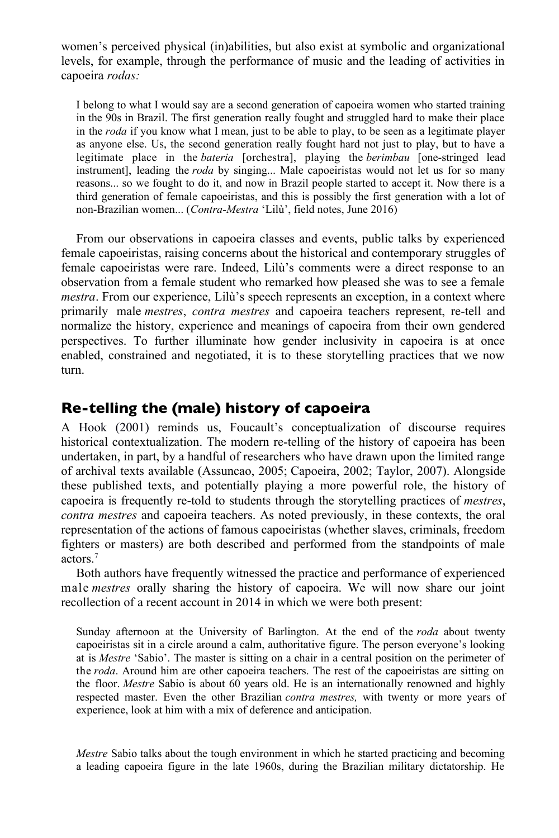women's perceived physical (in)abilities, but also exist at symbolic and organizational levels, for example, through the performance of music and the leading of activities in capoeira *rodas:*

I belong to what I would say are a second generation of capoeira women who started training in the 90s in Brazil. The first generation really fought and struggled hard to make their place in the *roda* if you know what I mean, just to be able to play, to be seen as a legitimate player as anyone else. Us, the second generation really fought hard not just to play, but to have a legitimate place in the *bateria* [orchestra], playing the *berimbau* [one-stringed lead instrument], leading the *roda* by singing... Male capoeiristas would not let us for so many reasons... so we fought to do it, and now in Brazil people started to accept it. Now there is a third generation of female capoeiristas, and this is possibly the first generation with a lot of non-Brazilian women... (*Contra-Mestra* 'Lilù', field notes, June 2016)

From our observations in capoeira classes and events, public talks by experienced female capoeiristas, raising concerns about the historical and contemporary struggles of female capoeiristas were rare. Indeed, Lilù's comments were a direct response to an observation from a female student who remarked how pleased she was to see a female *mestra*. From our experience, Lilù's speech represents an exception, in a context where primarily male *mestres*, *contra mestres* and capoeira teachers represent, re-tell and normalize the history, experience and meanings of capoeira from their own gendered perspectives. To further illuminate how gender inclusivity in capoeira is at once enabled, constrained and negotiated, it is to these storytelling practices that we now turn.

# **Re-telling the (male) history of capoeira**

A [Hook \(2001\)](#page-17-17) reminds us, Foucault's conceptualization of discourse requires historical contextualization. The modern re-telling of the history of capoeira has been undertaken, in part, by a handful of researchers who have drawn upon the limited range of archival texts available (Assuncao, 2005; [Capoeira, 2002;](#page-16-0) [Taylor, 2007\)](#page-18-5). Alongside these published texts, and potentially playing a more powerful role, the history of capoeira is frequently re-told to students through the storytelling practices of *mestres*, *contra mestres* and capoeira teachers. As noted previously, in these contexts, the oral representation of the actions of famous capoeiristas (whether slaves, criminals, freedom fighters or masters) are both described and performed from the standpoints of male actors.[7](#page-16-11)

Both authors have frequently witnessed the practice and performance of experienced male *mestres* orally sharing the history of capoeira. We will now share our joint recollection of a recent account in 2014 in which we were both present:

Sunday afternoon at the University of Barlington. At the end of the *roda* about twenty capoeiristas sit in a circle around a calm, authoritative figure. The person everyone's looking at is *Mestre* 'Sabio'. The master is sitting on a chair in a central position on the perimeter of the *roda*. Around him are other capoeira teachers. The rest of the capoeiristas are sitting on the floor. *Mestre* Sabio is about 60 years old. He is an internationally renowned and highly respected master. Even the other Brazilian *contra mestres,* with twenty or more years of experience, look at him with a mix of deference and anticipation.

*Mestre* Sabio talks about the tough environment in which he started practicing and becoming a leading capoeira figure in the late 1960s, during the Brazilian military dictatorship. He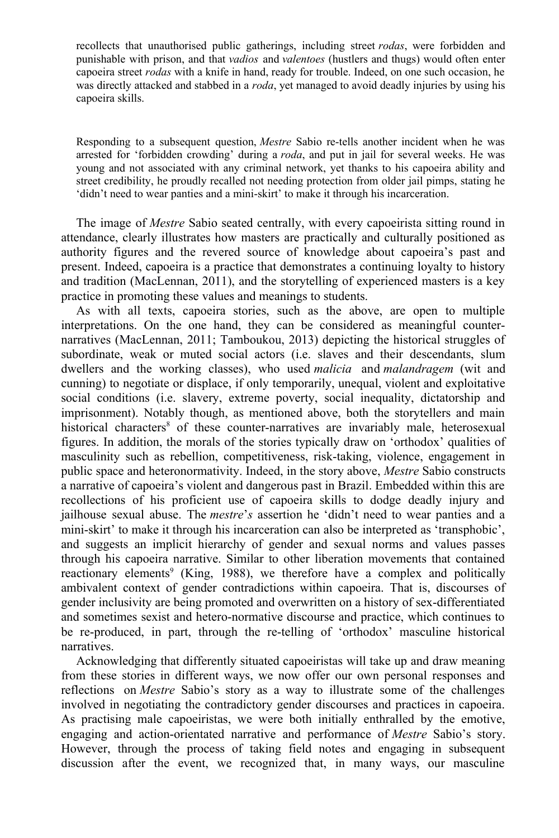recollects that unauthorised public gatherings, including street *rodas*, were forbidden and punishable with prison, and that *vadios* and *valentoes* (hustlers and thugs) would often enter capoeira street *rodas* with a knife in hand, ready for trouble. Indeed, on one such occasion, he was directly attacked and stabbed in a *roda*, yet managed to avoid deadly injuries by using his capoeira skills.

Responding to a subsequent question, *Mestre* Sabio re-tells another incident when he was arrested for 'forbidden crowding' during a *roda*, and put in jail for several weeks. He was young and not associated with any criminal network, yet thanks to his capoeira ability and street credibility, he proudly recalled not needing protection from older jail pimps, stating he 'didn't need to wear panties and a mini-skirt' to make it through his incarceration.

The image of *Mestre* Sabio seated centrally, with every capoeirista sitting round in attendance, clearly illustrates how masters are practically and culturally positioned as authority figures and the revered source of knowledge about capoeira's past and present. Indeed, capoeira is a practice that demonstrates a continuing loyalty to history and tradition [\(MacLennan, 2011\)](#page-17-5), and the storytelling of experienced masters is a key practice in promoting these values and meanings to students.

As with all texts, capoeira stories, such as the above, are open to multiple interpretations. On the one hand, they can be considered as meaningful counternarratives [\(MacLennan, 2011;](#page-17-5) [Tamboukou, 2013\)](#page-18-5) depicting the historical struggles of subordinate, weak or muted social actors (i.e. slaves and their descendants, slum dwellers and the working classes), who used *malicia* and *malandragem* (wit and cunning) to negotiate or displace, if only temporarily, unequal, violent and exploitative social conditions (i.e. slavery, extreme poverty, social inequality, dictatorship and imprisonment). Notably though, as mentioned above, both the storytellers and main historical characters<sup>[8](#page-16-13)</sup> of these counter-narratives are invariably male, heterosexual figures. In addition, the morals of the stories typically draw on 'orthodox' qualities of masculinity such as rebellion, competitiveness, risk-taking, violence, engagement in public space and heteronormativity. Indeed, in the story above, *Mestre* Sabio constructs a narrative of capoeira's violent and dangerous past in Brazil. Embedded within this are recollections of his proficient use of capoeira skills to dodge deadly injury and jailhouse sexual abuse. The *mestre*'*s* assertion he 'didn't need to wear panties and a mini-skirt' to make it through his incarceration can also be interpreted as 'transphobic', and suggests an implicit hierarchy of gender and sexual norms and values passes through his capoeira narrative. Similar to other liberation movements that contained reactionary elements<sup>[9](#page-16-12)</sup> [\(King, 1988\)](#page-17-25), we therefore have a complex and politically ambivalent context of gender contradictions within capoeira. That is, discourses of gender inclusivity are being promoted and overwritten on a history of sex-differentiated and sometimes sexist and hetero-normative discourse and practice, which continues to be re-produced, in part, through the re-telling of 'orthodox' masculine historical narratives.

Acknowledging that differently situated capoeiristas will take up and draw meaning from these stories in different ways, we now offer our own personal responses and reflections on *Mestre* Sabio's story as a way to illustrate some of the challenges involved in negotiating the contradictory gender discourses and practices in capoeira. As practising male capoeiristas, we were both initially enthralled by the emotive, engaging and action-orientated narrative and performance of *Mestre* Sabio's story. However, through the process of taking field notes and engaging in subsequent discussion after the event, we recognized that, in many ways, our masculine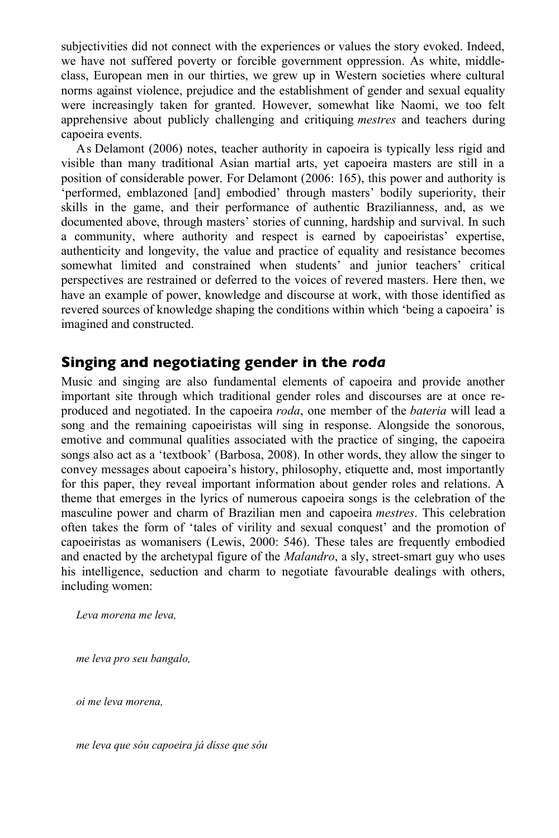subjectivities did not connect with the experiences or values the story evoked. Indeed, we have not suffered poverty or forcible government oppression. As white, middleclass, European men in our thirties, we grew up in Western societies where cultural norms against violence, prejudice and the establishment of gender and sexual equality were increasingly taken for granted. However, somewhat like Naomi, we too felt apprehensive about publicly challenging and critiquing *mestres* and teachers during capoeira events.

As [Delamont \(2006\)](#page-17-10) notes, teacher authority in capoeira is typically less rigid and visible than many traditional Asian martial arts, yet capoeira masters are still in a position of considerable power. For [Delamont \(2006:](#page-17-10) 165), this power and authority is 'performed, emblazoned [and] embodied' through masters' bodily superiority, their skills in the game, and their performance of authentic Brazilianness, and, as we documented above, through masters' stories of cunning, hardship and survival. In such a community, where authority and respect is earned by capoeiristas' expertise, authenticity and longevity, the value and practice of equality and resistance becomes somewhat limited and constrained when students' and junior teachers' critical perspectives are restrained or deferred to the voices of revered masters. Here then, we have an example of power, knowledge and discourse at work, with those identified as revered sources of knowledge shaping the conditions within which 'being a capoeira' is imagined and constructed.

# **Singing and negotiating gender in the** *roda*

Music and singing are also fundamental elements of capoeira and provide another important site through which traditional gender roles and discourses are at once reproduced and negotiated. In the capoeira *roda*, one member of the *bateria* will lead a song and the remaining capoeiristas will sing in response. Alongside the sonorous, emotive and communal qualities associated with the practice of singing, the capoeira songs also act as a 'textbook' [\(Barbosa, 2008\)](#page-16-14). In other words, they allow the singer to convey messages about capoeira's history, philosophy, etiquette and, most importantly for this paper, they reveal important information about gender roles and relations. A theme that emerges in the lyrics of numerous capoeira songs is the celebration of the masculine power and charm of Brazilian men and capoeira *mestres*. This celebration often takes the form of 'tales of virility and sexual conquest' and the promotion of capoeiristas as womanisers [\(Lewis, 2000:](#page-17-1) 546). These tales are frequently embodied and enacted by the archetypal figure of the *Malandro*, a sly, street-smart guy who uses his intelligence, seduction and charm to negotiate favourable dealings with others, including women:

*Leva morena me leva,*

*me leva pro seu bangalo,*

*oi me leva morena,*

*me leva que sóu capoeira já disse que sóu*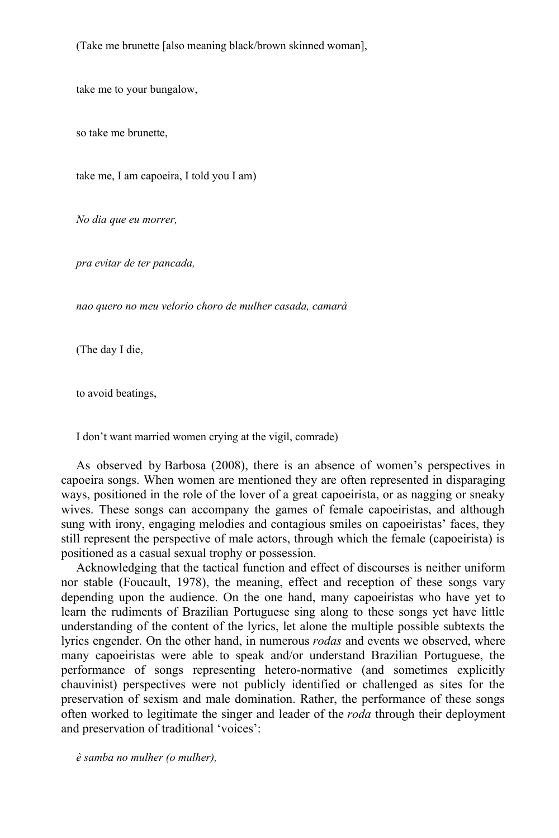(Take me brunette [also meaning black/brown skinned woman],

take me to your bungalow,

so take me brunette,

take me, I am capoeira, I told you I am)

*No dia que eu morrer,*

*pra evitar de ter pancada,*

*nao quero no meu velorio choro de mulher casada, camarà*

(The day I die,

to avoid beatings,

I don't want married women crying at the vigil, comrade)

As observed by [Barbosa \(2008\),](#page-16-14) there is an absence of women's perspectives in capoeira songs. When women are mentioned they are often represented in disparaging ways, positioned in the role of the lover of a great capoeirista, or as nagging or sneaky wives. These songs can accompany the games of female capoeiristas, and although sung with irony, engaging melodies and contagious smiles on capoeiristas' faces, they still represent the perspective of male actors, through which the female (capoeirista) is positioned as a casual sexual trophy or possession.

Acknowledging that the tactical function and effect of discourses is neither uniform nor stable [\(Foucault, 1978\)](#page-17-12), the meaning, effect and reception of these songs vary depending upon the audience. On the one hand, many capoeiristas who have yet to learn the rudiments of Brazilian Portuguese sing along to these songs yet have little understanding of the content of the lyrics, let alone the multiple possible subtexts the lyrics engender. On the other hand, in numerous *rodas* and events we observed, where many capoeiristas were able to speak and/or understand Brazilian Portuguese, the performance of songs representing hetero-normative (and sometimes explicitly chauvinist) perspectives were not publicly identified or challenged as sites for the preservation of sexism and male domination. Rather, the performance of these songs often worked to legitimate the singer and leader of the *roda* through their deployment and preservation of traditional 'voices':

*è samba no mulher (o mulher),*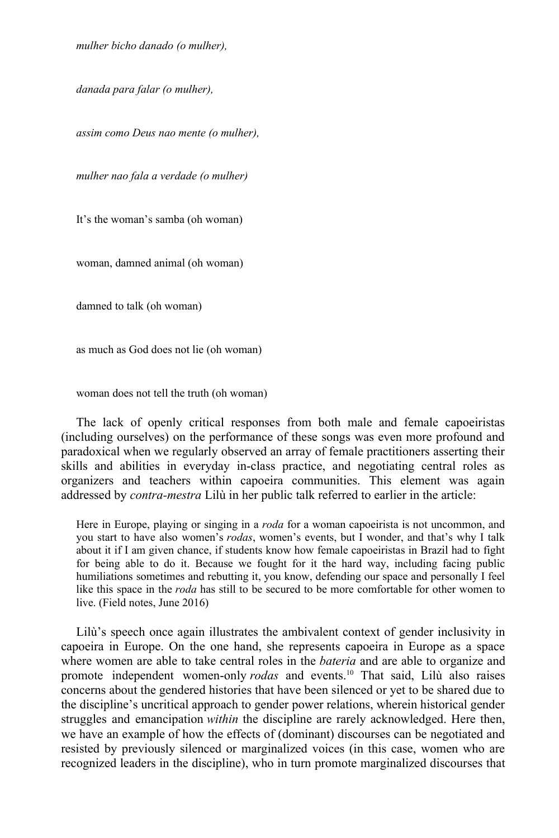*mulher bicho danado (o mulher),*

*danada para falar (o mulher),*

*assim como Deus nao mente (o mulher),*

*mulher nao fala a verdade (o mulher)*

It's the woman's samba (oh woman)

woman, damned animal (oh woman)

damned to talk (oh woman)

as much as God does not lie (oh woman)

woman does not tell the truth (oh woman)

The lack of openly critical responses from both male and female capoeiristas (including ourselves) on the performance of these songs was even more profound and paradoxical when we regularly observed an array of female practitioners asserting their skills and abilities in everyday in-class practice, and negotiating central roles as organizers and teachers within capoeira communities. This element was again addressed by *contra-mestra* Lilù in her public talk referred to earlier in the article:

Here in Europe, playing or singing in a *roda* for a woman capoeirista is not uncommon, and you start to have also women's *rodas*, women's events, but I wonder, and that's why I talk about it if I am given chance, if students know how female capoeiristas in Brazil had to fight for being able to do it. Because we fought for it the hard way, including facing public humiliations sometimes and rebutting it, you know, defending our space and personally I feel like this space in the *roda* has still to be secured to be more comfortable for other women to live. (Field notes, June 2016)

Lilù's speech once again illustrates the ambivalent context of gender inclusivity in capoeira in Europe. On the one hand, she represents capoeira in Europe as a space where women are able to take central roles in the *bateria* and are able to organize and promote independent women-only *rodas* and events.<sup>[10](#page-16-15)</sup> That said, Lilù also raises concerns about the gendered histories that have been silenced or yet to be shared due to the discipline's uncritical approach to gender power relations, wherein historical gender struggles and emancipation *within* the discipline are rarely acknowledged. Here then, we have an example of how the effects of (dominant) discourses can be negotiated and resisted by previously silenced or marginalized voices (in this case, women who are recognized leaders in the discipline), who in turn promote marginalized discourses that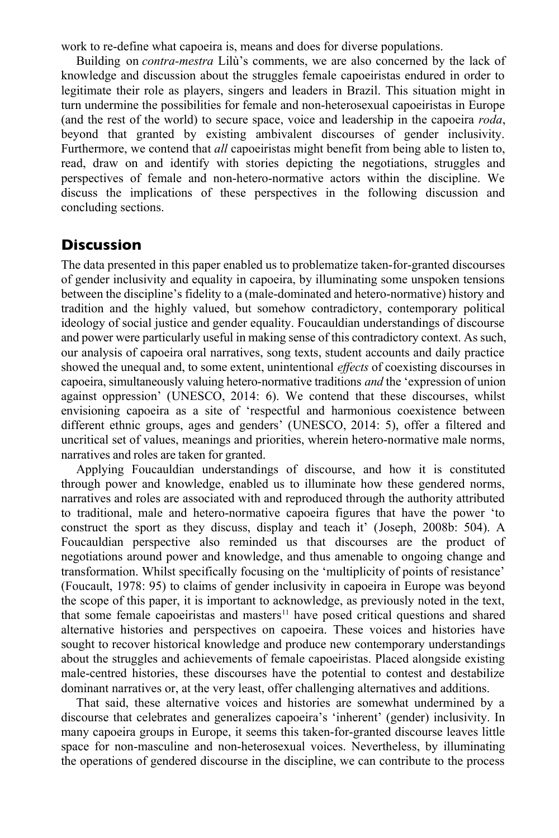work to re-define what capoeira is, means and does for diverse populations.

Building on *contra-mestra* Lilù's comments, we are also concerned by the lack of knowledge and discussion about the struggles female capoeiristas endured in order to legitimate their role as players, singers and leaders in Brazil. This situation might in turn undermine the possibilities for female and non-heterosexual capoeiristas in Europe (and the rest of the world) to secure space, voice and leadership in the capoeira *roda*, beyond that granted by existing ambivalent discourses of gender inclusivity. Furthermore, we contend that *all* capoeiristas might benefit from being able to listen to, read, draw on and identify with stories depicting the negotiations, struggles and perspectives of female and non-hetero-normative actors within the discipline. We discuss the implications of these perspectives in the following discussion and concluding sections.

# **Discussion**

The data presented in this paper enabled us to problematize taken-for-granted discourses of gender inclusivity and equality in capoeira, by illuminating some unspoken tensions between the discipline's fidelity to a (male-dominated and hetero-normative) history and tradition and the highly valued, but somehow contradictory, contemporary political ideology of social justice and gender equality. Foucauldian understandings of discourse and power were particularly useful in making sense of this contradictory context. As such, our analysis of capoeira oral narratives, song texts, student accounts and daily practice showed the unequal and, to some extent, unintentional *effects* of coexisting discourses in capoeira, simultaneously valuing hetero-normative traditions *and* the 'expression of union against oppression' [\(UNESCO, 2014:](#page-18-4) 6). We contend that these discourses, whilst envisioning capoeira as a site of 'respectful and harmonious coexistence between different ethnic groups, ages and genders' [\(UNESCO, 2014:](#page-18-4) 5), offer a filtered and uncritical set of values, meanings and priorities, wherein hetero-normative male norms, narratives and roles are taken for granted.

<span id="page-14-0"></span>Applying Foucauldian understandings of discourse, and how it is constituted through power and knowledge, enabled us to illuminate how these gendered norms, narratives and roles are associated with and reproduced through the authority attributed to traditional, male and hetero-normative capoeira figures that have the power 'to construct the sport as they discuss, display and teach it' ([Joseph, 2008b:](#page-14-0) 504). A Foucauldian perspective also reminded us that discourses are the product of negotiations around power and knowledge, and thus amenable to ongoing change and transformation. Whilst specifically focusing on the 'multiplicity of points of resistance' [\(Foucault, 1978:](#page-17-12) 95) to claims of gender inclusivity in capoeira in Europe was beyond the scope of this paper, it is important to acknowledge, as previously noted in the text, that some female capoeiristas and masters<sup>[11](#page-16-16)</sup> have posed critical questions and shared alternative histories and perspectives on capoeira. These voices and histories have sought to recover historical knowledge and produce new contemporary understandings about the struggles and achievements of female capoeiristas. Placed alongside existing male-centred histories, these discourses have the potential to contest and destabilize dominant narratives or, at the very least, offer challenging alternatives and additions.

That said, these alternative voices and histories are somewhat undermined by a discourse that celebrates and generalizes capoeira's 'inherent' (gender) inclusivity. In many capoeira groups in Europe, it seems this taken-for-granted discourse leaves little space for non-masculine and non-heterosexual voices. Nevertheless, by illuminating the operations of gendered discourse in the discipline, we can contribute to the process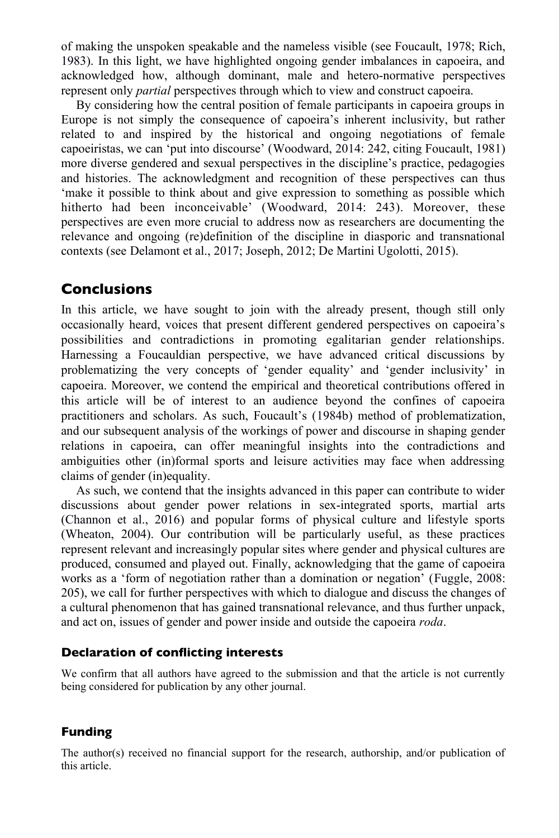of making the unspoken speakable and the nameless visible (see [Foucault, 1978;](#page-17-12) [Rich,](#page-18-10) [1983\)](#page-18-10). In this light, we have highlighted ongoing gender imbalances in capoeira, and acknowledged how, although dominant, male and hetero-normative perspectives represent only *partial* perspectives through which to view and construct capoeira.

By considering how the central position of female participants in capoeira groups in Europe is not simply the consequence of capoeira's inherent inclusivity, but rather related to and inspired by the historical and ongoing negotiations of female capoeiristas, we can 'put into discourse' [\(Woodward, 2014:](#page-18-9) 242, citing Foucault, 1981) more diverse gendered and sexual perspectives in the discipline's practice, pedagogies and histories. The acknowledgment and recognition of these perspectives can thus 'make it possible to think about and give expression to something as possible which hitherto had been inconceivable' [\(Woodward, 2014:](#page-18-9) 243). Moreover, these perspectives are even more crucial to address now as researchers are documenting the relevance and ongoing (re)definition of the discipline in diasporic and transnational contexts (see [Delamont et al., 2017;](#page-17-9) [Joseph, 2012;](#page-17-24) De Martini Ugolotti, 2015).

# **Conclusions**

In this article, we have sought to join with the already present, though still only occasionally heard, voices that present different gendered perspectives on capoeira's possibilities and contradictions in promoting egalitarian gender relationships. Harnessing a Foucauldian perspective, we have advanced critical discussions by problematizing the very concepts of 'gender equality' and 'gender inclusivity' in capoeira. Moreover, we contend the empirical and theoretical contributions offered in this article will be of interest to an audience beyond the confines of capoeira practitioners and scholars. As such, Foucault's [\(1984b\)](#page-17-14) method of problematization, and our subsequent analysis of the workings of power and discourse in shaping gender relations in capoeira, can offer meaningful insights into the contradictions and ambiguities other (in)formal sports and leisure activities may face when addressing claims of gender (in)equality.

As such, we contend that the insights advanced in this paper can contribute to wider discussions about gender power relations in sex-integrated sports, martial arts [\(Channon et al., 2016\)](#page-16-17) and popular forms of physical culture and lifestyle sports [\(Wheaton, 2004\)](#page-18-8). Our contribution will be particularly useful, as these practices represent relevant and increasingly popular sites where gender and physical cultures are produced, consumed and played out. Finally, acknowledging that the game of capoeira works as a 'form of negotiation rather than a domination or negation' [\(Fuggle, 2008:](#page-17-2) 205), we call for further perspectives with which to dialogue and discuss the changes of a cultural phenomenon that has gained transnational relevance, and thus further unpack, and act on, issues of gender and power inside and outside the capoeira *roda*.

### **Declaration of conficting interests**

We confirm that all authors have agreed to the submission and that the article is not currently being considered for publication by any other journal.

### **Funding**

The author(s) received no financial support for the research, authorship, and/or publication of this article.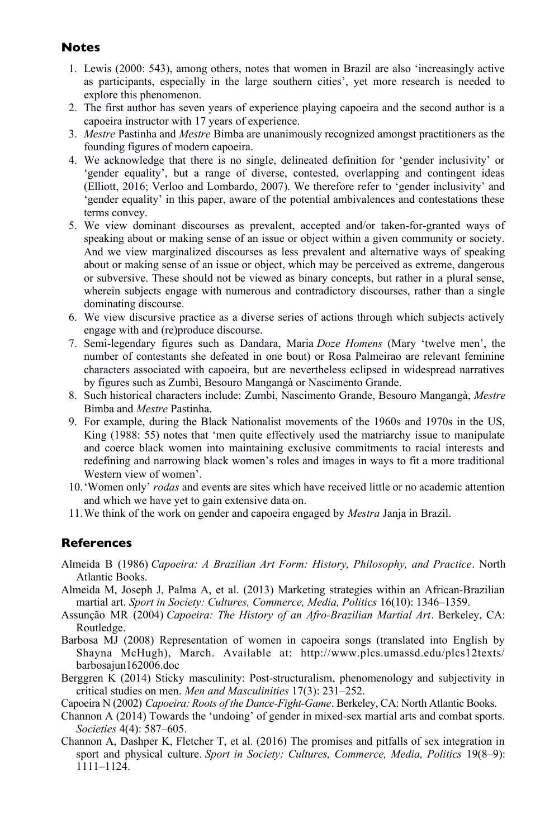### **Notes**

- <span id="page-16-4"></span>1. [Lewis \(2000:](#page-17-1) 543), among others, notes that women in Brazil are also 'increasingly active as participants, especially in the large southern cities', yet more research is needed to explore this phenomenon.
- <span id="page-16-3"></span>2. The first author has seven years of experience playing capoeira and the second author is a capoeira instructor with 17 years of experience.
- <span id="page-16-2"></span>3. *Mestre* Pastinha and *Mestre* Bimba are unanimously recognized amongst practitioners as the founding figures of modern capoeira.
- <span id="page-16-6"></span>4. We acknowledge that there is no single, delineated definition for 'gender inclusivity' or 'gender equality', but a range of diverse, contested, overlapping and contingent ideas [\(Elliott, 2016;](#page-17-26) [Verloo and Lombardo, 2007\)](#page-18-11). We therefore refer to 'gender inclusivity' and 'gender equality' in this paper, aware of the potential ambivalences and contestations these terms convey.
- <span id="page-16-10"></span>5. We view dominant discourses as prevalent, accepted and/or taken-for-granted ways of speaking about or making sense of an issue or object within a given community or society. And we view marginalized discourses as less prevalent and alternative ways of speaking about or making sense of an issue or object, which may be perceived as extreme, dangerous or subversive. These should not be viewed as binary concepts, but rather in a plural sense, wherein subjects engage with numerous and contradictory discourses, rather than a single dominating discourse.
- <span id="page-16-9"></span>6. We view discursive practice as a diverse series of actions through which subjects actively engage with and (re)produce discourse.
- <span id="page-16-11"></span>7. Semi-legendary figures such as Dandara, Maria *Doze Homens* (Mary 'twelve men', the number of contestants she defeated in one bout) or Rosa Palmeirao are relevant feminine characters associated with capoeira, but are nevertheless eclipsed in widespread narratives by figures such as Zumbì, Besouro Mangangà or Nascimento Grande.
- <span id="page-16-13"></span>8. Such historical characters include: Zumbì, Nascimento Grande, Besouro Mangangà, *Mestre* Bimba and *Mestre* Pastinha.
- <span id="page-16-12"></span>9. For example, during the Black Nationalist movements of the 1960s and 1970s in the US, [King \(1988:](#page-17-25) 55) notes that 'men quite effectively used the matriarchy issue to manipulate and coerce black women into maintaining exclusive commitments to racial interests and redefining and narrowing black women's roles and images in ways to fit a more traditional Western view of women'.
- <span id="page-16-15"></span>10.'Women only' *rodas* and events are sites which have received little or no academic attention and which we have yet to gain extensive data on.
- <span id="page-16-16"></span>11.We think of the work on gender and capoeira engaged by *Mestra* Janja in Brazil.

### **References**

- <span id="page-16-1"></span>Almeida B (1986) *Capoeira: A Brazilian Art Form: History, Philosophy, and Practice*. North Atlantic Books.
- <span id="page-16-5"></span>Almeida M, Joseph J, Palma A, et al. (2013) Marketing strategies within an African-Brazilian martial art. *Sport in Society: Cultures, Commerce, Media, Politics* 16(10): 1346–1359.
- Assunção MR (2004) *Capoeira: The History of an Afro-Brazilian Martial Art*. Berkeley, CA: Routledge.
- <span id="page-16-14"></span>Barbosa MJ (2008) Representation of women in capoeira songs (translated into English by Shayna McHugh), March. Available at: http://www.plcs.umassd.edu/plcs12texts/ barbosajun162006.doc
- <span id="page-16-8"></span>Berggren K (2014) Sticky masculinity: Post-structuralism, phenomenology and subjectivity in critical studies on men. *Men and Masculinities* 17(3): 231–252.

<span id="page-16-0"></span>Capoeira N (2002) *Capoeira: Roots of the Dance-Fight-Game*. Berkeley, CA: North Atlantic Books.

- <span id="page-16-7"></span>Channon A (2014) Towards the 'undoing' of gender in mixed-sex martial arts and combat sports. *Societies* 4(4): 587–605.
- <span id="page-16-17"></span>Channon A, Dashper K, Fletcher T, et al. (2016) The promises and pitfalls of sex integration in sport and physical culture. *Sport in Society: Cultures, Commerce, Media, Politics* 19(8–9): 1111–1124.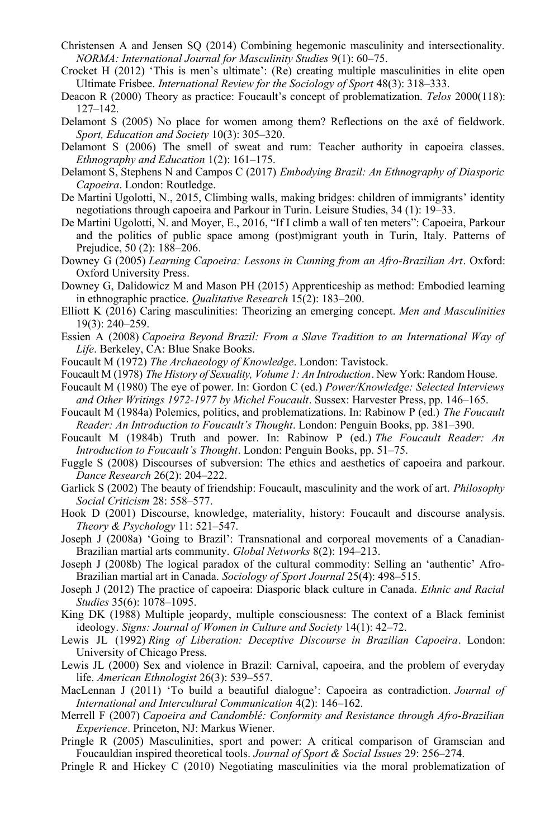- <span id="page-17-21"></span>Christensen A and Jensen SQ (2014) Combining hegemonic masculinity and intersectionality. *NORMA: International Journal for Masculinity Studies* 9(1): 60–75.
- <span id="page-17-13"></span>Crocket H (2012) 'This is men's ultimate': (Re) creating multiple masculinities in elite open Ultimate Frisbee. *International Review for the Sociology of Sport* 48(3): 318–333.
- <span id="page-17-20"></span>Deacon R (2000) Theory as practice: Foucault's concept of problematization. *Telos* 2000(118): 127–142.
- <span id="page-17-0"></span>Delamont S (2005) No place for women among them? Reflections on the axé of fieldwork. *Sport, Education and Society* 10(3): 305–320.
- <span id="page-17-10"></span>Delamont S (2006) The smell of sweat and rum: Teacher authority in capoeira classes. *Ethnography and Education* 1(2): 161–175.
- <span id="page-17-9"></span>Delamont S, Stephens N and Campos C (2017) *Embodying Brazil: An Ethnography of Diasporic Capoeira*. London: Routledge.
- De Martini Ugolotti, N., 2015, Climbing walls, making bridges: children of immigrants' identity negotiations through capoeira and Parkour in Turin. Leisure Studies, 34 (1): 19–33.
- De Martini Ugolotti, N. and Moyer, E., 2016, "If I climb a wall of ten meters": Capoeira, Parkour and the politics of public space among (post)migrant youth in Turin, Italy. Patterns of Prejudice, 50 (2): 188–206.
- <span id="page-17-8"></span>Downey G (2005) *Learning Capoeira: Lessons in Cunning from an Afro-Brazilian Art*. Oxford: Oxford University Press.
- <span id="page-17-22"></span>Downey G, Dalidowicz M and Mason PH (2015) Apprenticeship as method: Embodied learning in ethnographic practice. *Qualitative Research* 15(2): 183–200.
- <span id="page-17-26"></span>Elliott K (2016) Caring masculinities: Theorizing an emerging concept. *Men and Masculinities* 19(3): 240–259.
- <span id="page-17-3"></span>Essien A (2008) *Capoeira Beyond Brazil: From a Slave Tradition to an International Way of Life*. Berkeley, CA: Blue Snake Books.
- <span id="page-17-18"></span>Foucault M (1972) *The Archaeology of Knowledge*. London: Tavistock.
- <span id="page-17-12"></span>Foucault M (1978) *The History of Sexuality, Volume 1: An Introduction*. New York: Random House.
- <span id="page-17-16"></span>Foucault M (1980) The eye of power. In: Gordon C (ed.) *Power/Knowledge: Selected Interviews and Other Writings 1972-1977 by Michel Foucault*. Sussex: Harvester Press, pp. 146–165.
- <span id="page-17-19"></span>Foucault M (1984a) Polemics, politics, and problematizations. In: Rabinow P (ed.) *The Foucault Reader: An Introduction to Foucault's Thought*. London: Penguin Books, pp. 381–390.
- <span id="page-17-14"></span>Foucault M (1984b) Truth and power. In: Rabinow P (ed.) *The Foucault Reader: An Introduction to Foucault's Thought*. London: Penguin Books, pp. 51–75.
- <span id="page-17-2"></span>Fuggle S (2008) Discourses of subversion: The ethics and aesthetics of capoeira and parkour. *Dance Research* 26(2): 204–222.
- <span id="page-17-6"></span>Garlick S (2002) The beauty of friendship: Foucault, masculinity and the work of art. *Philosophy Social Criticism* 28: 558–577.
- <span id="page-17-17"></span>Hook D (2001) Discourse, knowledge, materiality, history: Foucault and discourse analysis. *Theory & Psychology* 11: 521–547.
- <span id="page-17-7"></span>Joseph J (2008a) 'Going to Brazil': Transnational and corporeal movements of a Canadian-Brazilian martial arts community. *Global Networks* 8(2): 194–213.
- <span id="page-17-24"></span>Joseph J (2008b) The logical paradox of the cultural commodity: Selling an 'authentic' Afro-Brazilian martial art in Canada. *Sociology of Sport Journal* 25(4): 498–515.
- Joseph J (2012) The practice of capoeira: Diasporic black culture in Canada. *Ethnic and Racial Studies* 35(6): 1078–1095.
- <span id="page-17-25"></span>King DK (1988) Multiple jeopardy, multiple consciousness: The context of a Black feminist ideology. *Signs: Journal of Women in Culture and Society* 14(1): 42–72.
- <span id="page-17-23"></span>Lewis JL (1992) *Ring of Liberation: Deceptive Discourse in Brazilian Capoeira*. London: University of Chicago Press.
- <span id="page-17-1"></span>Lewis JL (2000) Sex and violence in Brazil: Carnival, capoeira, and the problem of everyday life. *American Ethnologist* 26(3): 539–557.
- <span id="page-17-5"></span>MacLennan J (2011) 'To build a beautiful dialogue': Capoeira as contradiction. *Journal of International and Intercultural Communication* 4(2): 146–162.
- <span id="page-17-4"></span>Merrell F (2007) *Capoeira and Candomblé: Conformity and Resistance through Afro-Brazilian Experience*. Princeton, NJ: Markus Wiener.
- <span id="page-17-15"></span>Pringle R (2005) Masculinities, sport and power: A critical comparison of Gramscian and Foucauldian inspired theoretical tools. *Journal of Sport & Social Issues* 29: 256–274.
- <span id="page-17-11"></span>Pringle R and Hickey C (2010) Negotiating masculinities via the moral problematization of